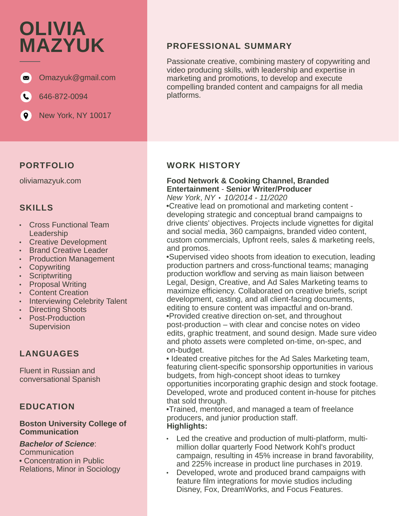# **OLIVIA MAZYUK**



646-872-0094  $\mathbf{C}$ 

 $\left( 0\right)$ New York, NY 10017

#### **PORTFOLIO**

oliviamazyuk.com

## **SKILLS**

- Cross Functional Team Leadership
- Creative Development
- **Brand Creative Leader**
- Production Management
- Copywriting
- **Scriptwriting**
- **Proposal Writing**
- Content Creation
- Interviewing Celebrity Talent
- Directing Shoots
- Post-Production **Supervision** •

# **LANGUAGES**

Fluent in Russian and conversational Spanish

## **EDUCATION**

#### **Boston University College of Communication**

#### *Bachelor of Science*:

Communication • Concentration in Public Relations, Minor in Sociology

## **PROFESSIONAL SUMMARY**

Passionate creative, combining mastery of copywriting and video producing skills, with leadership and expertise in marketing and promotions, to develop and execute compelling branded content and campaigns for all media platforms.

## **WORK HISTORY**

#### **Food Network & Cooking Channel, Branded Entertainment** - **Senior Writer/Producer**

*New York*, *NY* • *10/2014* - *11/2020*

•Creative lead on promotional and marketing content developing strategic and conceptual brand campaigns to drive clients' objectives. Projects include vignettes for digital and social media, 360 campaigns, branded video content, custom commercials, Upfront reels, sales & marketing reels, and promos.

•Supervised video shoots from ideation to execution, leading production partners and cross-functional teams; managing production workflow and serving as main liaison between Legal, Design, Creative, and Ad Sales Marketing teams to maximize efficiency. Collaborated on creative briefs, script development, casting, and all client-facing documents, editing to ensure content was impactful and on-brand. •Provided creative direction on-set, and throughout post-production – with clear and concise notes on video edits, graphic treatment, and sound design. Made sure video and photo assets were completed on-time, on-spec, and on-budget.

• Ideated creative pitches for the Ad Sales Marketing team, featuring client-specific sponsorship opportunities in various budgets, from high-concept shoot ideas to turnkey opportunities incorporating graphic design and stock footage. Developed, wrote and produced content in-house for pitches that sold through.

•Trained, mentored, and managed a team of freelance producers, and junior production staff. **Highlights:**

- Led the creative and production of multi-platform, multi-• million dollar quarterly Food Network Kohl's product campaign, resulting in 45% increase in brand favorability, and 225% increase in product line purchases in 2019.
- Developed, wrote and produced brand campaigns with feature film integrations for movie studios including Disney, Fox, DreamWorks, and Focus Features.